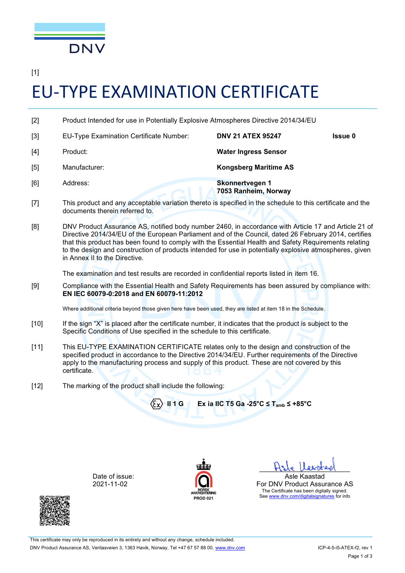

[1]

## EU-TYPE EXAMINATION CERTIFICATE

| $[2]$ | Product Intended for use in Potentially Explosive Atmospheres Directive 2014/34/EU |                                         |                |
|-------|------------------------------------------------------------------------------------|-----------------------------------------|----------------|
| $[3]$ | <b>EU-Type Examination Certificate Number:</b>                                     | <b>DNV 21 ATEX 95247</b>                | <b>Issue 0</b> |
| $[4]$ | Product:                                                                           | <b>Water Ingress Sensor</b>             |                |
| [5]   | Manufacturer:                                                                      | <b>Kongsberg Maritime AS</b>            |                |
| [6]   | Address:                                                                           | Skonnertvegen 1<br>7053 Ranheim, Norway |                |

- [7] This product and any acceptable variation thereto is specified in the schedule to this certificate and the documents therein referred to.
- [8] DNV Product Assurance AS, notified body number 2460, in accordance with Article 17 and Article 21 of Directive 2014/34/EU of the European Parliament and of the Council, dated 26 February 2014, certifies that this product has been found to comply with the Essential Health and Safety Requirements relating to the design and construction of products intended for use in potentially explosive atmospheres, given in Annex II to the Directive.

The examination and test results are recorded in confidential reports listed in item 16.

[9] Compliance with the Essential Health and Safety Requirements has been assured by compliance with: **EN IEC 60079-0:2018 and EN 60079-11:2012**

Where additional criteria beyond those given here have been used, they are listed at item 18 in the Schedule.

- [10] If the sign "X" is placed after the certificate number, it indicates that the product is subject to the Specific Conditions of Use specified in the schedule to this certificate.
- [11] This EU-TYPE EXAMINATION CERTIFICATE relates only to the design and construction of the specified product in accordance to the Directive 2014/34/EU. Further requirements of the Directive apply to the manufacturing process and supply of this product. These are not covered by this certificate.

**PROD 021**

[12] The marking of the product shall include the following:



Date of issue: 2021-11-02



This certificate may only be reproduced in its entirety and without any change, schedule included. DNV Product Assurance AS, Veritasveien 3, 1363 Høvik, Norway, Tel +47 67 57 88 00, [www.dnv.com](http://www.dnv.com/) ICP-4-5-i5-ATEX-f2, rev 1

 $\Box$ Asle Kaastad For DNV Product Assurance AS The Certificate has been digitally signed. See [www.dnv.com/digitalsignatures](http://www.dnv.com/digitalsignatures) for info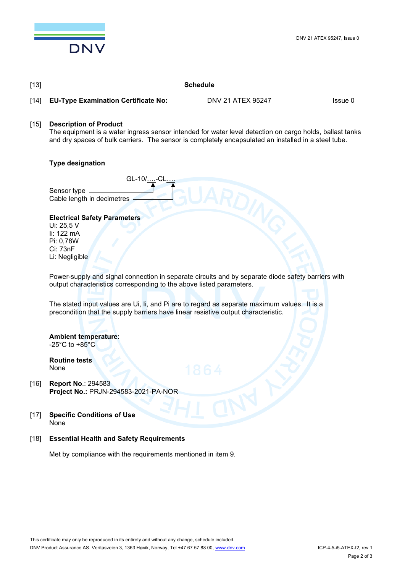

[13] **Schedule**

| $[14]$ | <b>EU-Type Examination Certificate No:</b>                                                                                                                                                                                                        | DNV 21 ATEX 95247 | Issue 0 |  |  |
|--------|---------------------------------------------------------------------------------------------------------------------------------------------------------------------------------------------------------------------------------------------------|-------------------|---------|--|--|
| $[15]$ | <b>Description of Product</b><br>The equipment is a water ingress sensor intended for water level detection on cargo holds, ballast tanks<br>and dry spaces of bulk carriers. The sensor is completely encapsulated an installed in a steel tube. |                   |         |  |  |
|        | <b>Type designation</b>                                                                                                                                                                                                                           |                   |         |  |  |
|        | GL-10/-CL<br>Sensor type __<br>Cable length in decimetres                                                                                                                                                                                         |                   |         |  |  |
|        | <b>Electrical Safety Parameters</b><br>Ui: 25,5 V<br>li: 122 mA<br>Pi: 0,78W<br>Ci: 73nF<br>Li: Negligible                                                                                                                                        |                   |         |  |  |
|        | Power-supply and signal connection in separate circuits and by separate diode safety barriers with<br>output characteristics corresponding to the above listed parameters.                                                                        |                   |         |  |  |
|        | The stated input values are Ui, Ii, and Pi are to regard as separate maximum values. It is a<br>precondition that the supply barriers have linear resistive output characteristic.                                                                |                   |         |  |  |
|        | <b>Ambient temperature:</b><br>-25 $^{\circ}$ C to +85 $^{\circ}$ C<br><b>Routine tests</b><br>None                                                                                                                                               | 1864              |         |  |  |
| $[16]$ | <b>Report No.: 294583</b><br>Project No.: PRJN-294583-2021-PA-NOR                                                                                                                                                                                 |                   |         |  |  |
| $[17]$ | <b>Specific Conditions of Use</b><br>None                                                                                                                                                                                                         |                   |         |  |  |
| $[18]$ | <b>Essential Health and Safety Requirements</b>                                                                                                                                                                                                   |                   |         |  |  |
|        | Met by compliance with the requirements mentioned in item 9.                                                                                                                                                                                      |                   |         |  |  |
|        |                                                                                                                                                                                                                                                   |                   |         |  |  |